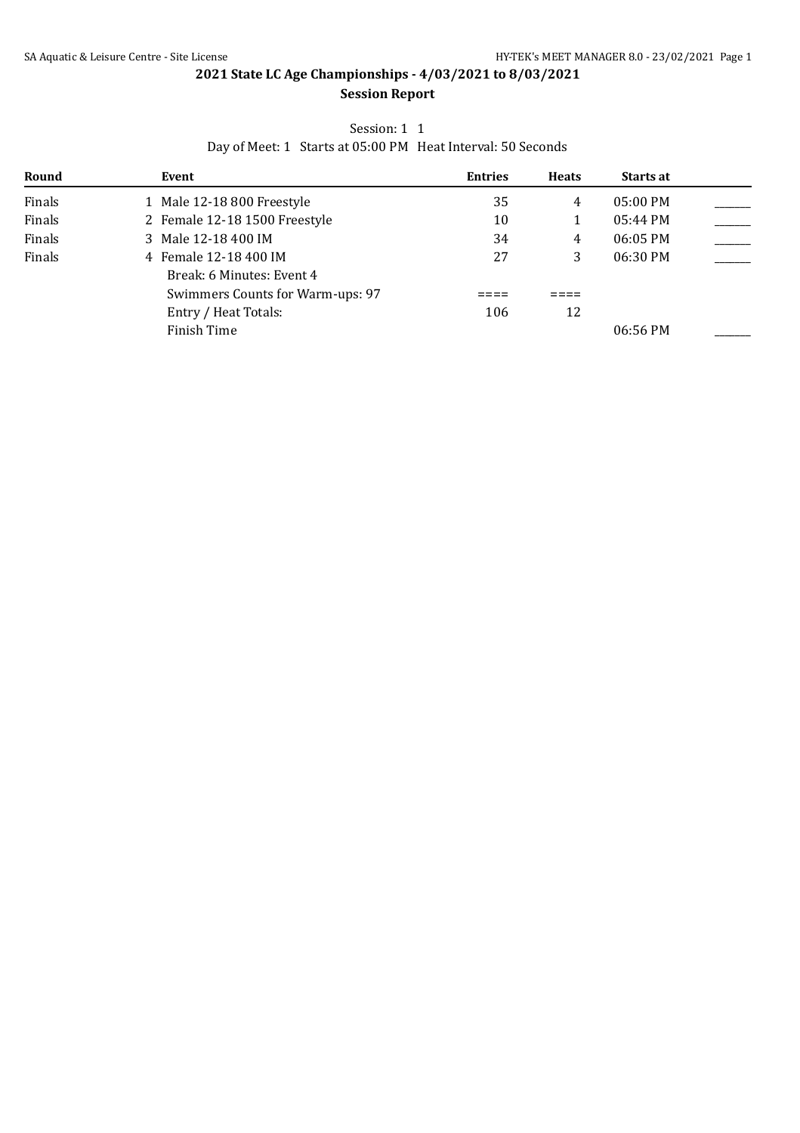## Session: 1 1

Day of Meet: 1 Starts at 05:00 PM Heat Interval: 50 Seconds

| Round  | Event                            | <b>Entries</b> | <b>Heats</b> | <b>Starts at</b>   |  |
|--------|----------------------------------|----------------|--------------|--------------------|--|
| Finals | 1 Male 12-18 800 Freestyle       | 35             | 4            | 05:00 PM           |  |
| Finals | 2 Female 12-18 1500 Freestyle    | 10             |              | $05:44 \text{ PM}$ |  |
| Finals | 3 Male 12-18 400 IM              | 34             | 4            | 06:05 PM           |  |
| Finals | 4 Female 12-18 400 IM            | 27             |              | 06:30 PM           |  |
|        | Break: 6 Minutes: Event 4        |                |              |                    |  |
|        | Swimmers Counts for Warm-ups: 97 |                |              |                    |  |
|        | Entry / Heat Totals:             | 106            | 12           |                    |  |
|        | Finish Time                      |                |              | 06:56 PM           |  |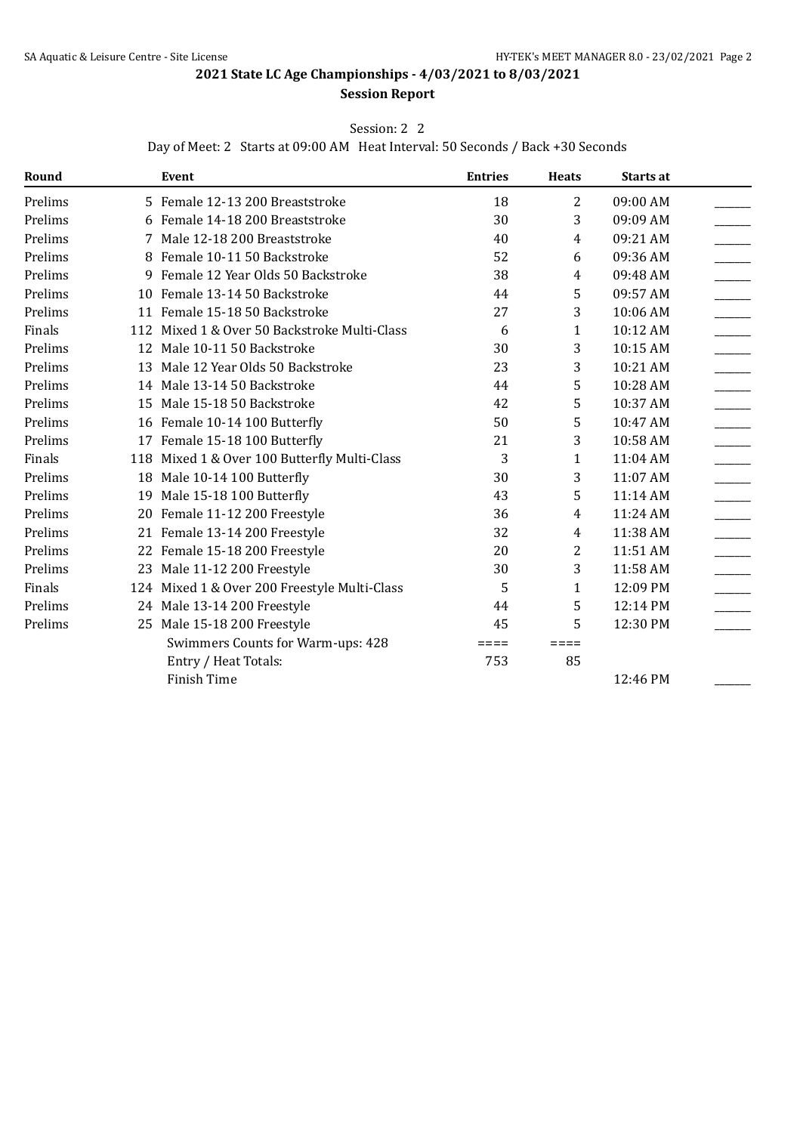# Session: 2 2

Day of Meet: 2 Starts at 09:00 AM Heat Interval: 50 Seconds / Back +30 Seconds

| Round   |   | Event                                        | <b>Entries</b> | <b>Heats</b>   | Starts at |  |
|---------|---|----------------------------------------------|----------------|----------------|-----------|--|
| Prelims |   | 5 Female 12-13 200 Breaststroke              | 18             | $\overline{2}$ | 09:00 AM  |  |
| Prelims | 6 | Female 14-18 200 Breaststroke                | 30             | 3              | 09:09 AM  |  |
| Prelims |   | Male 12-18 200 Breaststroke                  | 40             | 4              | 09:21 AM  |  |
| Prelims | 8 | Female 10-11 50 Backstroke                   | 52             | 6              | 09:36 AM  |  |
| Prelims | 9 | Female 12 Year Olds 50 Backstroke            | 38             | 4              | 09:48 AM  |  |
| Prelims |   | 10 Female 13-14 50 Backstroke                | 44             | 5              | 09:57 AM  |  |
| Prelims |   | 11 Female 15-18 50 Backstroke                | 27             | 3              | 10:06 AM  |  |
| Finals  |   | 112 Mixed 1 & Over 50 Backstroke Multi-Class | 6              | 1              | 10:12 AM  |  |
| Prelims |   | 12 Male 10-11 50 Backstroke                  | 30             | 3              | 10:15 AM  |  |
| Prelims |   | 13 Male 12 Year Olds 50 Backstroke           | 23             | 3              | 10:21 AM  |  |
| Prelims |   | 14 Male 13-14 50 Backstroke                  | 44             | 5              | 10:28 AM  |  |
| Prelims |   | 15 Male 15-18 50 Backstroke                  | 42             | 5              | 10:37 AM  |  |
| Prelims |   | 16 Female 10-14 100 Butterfly                | 50             | 5              | 10:47 AM  |  |
| Prelims |   | 17 Female 15-18 100 Butterfly                | 21             | 3              | 10:58 AM  |  |
| Finals  |   | 118 Mixed 1 & Over 100 Butterfly Multi-Class | 3              | 1              | 11:04 AM  |  |
| Prelims |   | 18 Male 10-14 100 Butterfly                  | 30             | 3              | 11:07 AM  |  |
| Prelims |   | 19 Male 15-18 100 Butterfly                  | 43             | 5              | 11:14 AM  |  |
| Prelims |   | 20 Female 11-12 200 Freestyle                | 36             | 4              | 11:24 AM  |  |
| Prelims |   | 21 Female 13-14 200 Freestyle                | 32             | 4              | 11:38 AM  |  |
| Prelims |   | 22 Female 15-18 200 Freestyle                | 20             | 2              | 11:51 AM  |  |
| Prelims |   | 23 Male 11-12 200 Freestyle                  | 30             | 3              | 11:58 AM  |  |
| Finals  |   | 124 Mixed 1 & Over 200 Freestyle Multi-Class | 5              | 1              | 12:09 PM  |  |
| Prelims |   | 24 Male 13-14 200 Freestyle                  | 44             | 5              | 12:14 PM  |  |
| Prelims |   | 25 Male 15-18 200 Freestyle                  | 45             | 5              | 12:30 PM  |  |
|         |   | Swimmers Counts for Warm-ups: 428            | ====           | ====           |           |  |
|         |   | Entry / Heat Totals:                         | 753            | 85             |           |  |
|         |   | <b>Finish Time</b>                           |                |                | 12:46 PM  |  |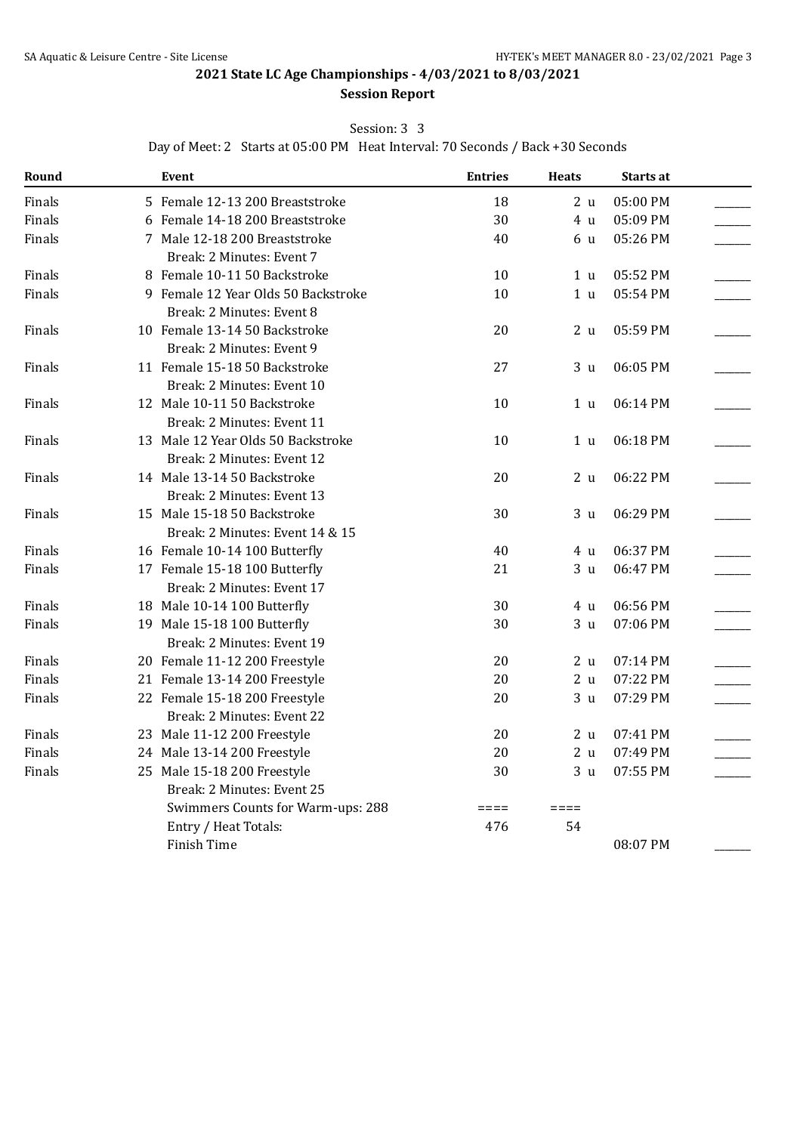#### Session: 3 3

Day of Meet: 2 Starts at 05:00 PM Heat Interval: 70 Seconds / Back +30 Seconds

| Round  | Event                               | <b>Entries</b>  | <b>Heats</b>    | Starts at |  |
|--------|-------------------------------------|-----------------|-----------------|-----------|--|
| Finals | 5 Female 12-13 200 Breaststroke     | 18              | 2 u             | 05:00 PM  |  |
| Finals | 6 Female 14-18 200 Breaststroke     | 30              | 4 <sub>u</sub>  | 05:09 PM  |  |
| Finals | 7 Male 12-18 200 Breaststroke       | 40              | 6 u             | 05:26 PM  |  |
|        | Break: 2 Minutes: Event 7           |                 |                 |           |  |
| Finals | 8 Female 10-11 50 Backstroke        | 10              | 1 u             | 05:52 PM  |  |
| Finals | 9 Female 12 Year Olds 50 Backstroke | 10              | 1 <sub>u</sub>  | 05:54 PM  |  |
|        | Break: 2 Minutes: Event 8           |                 |                 |           |  |
| Finals | 10 Female 13-14 50 Backstroke       | 20              | 2 <sub>u</sub>  | 05:59 PM  |  |
|        | Break: 2 Minutes: Event 9           |                 |                 |           |  |
| Finals | 11 Female 15-18 50 Backstroke       | 27              | 3 <sub>u</sub>  | 06:05 PM  |  |
|        | Break: 2 Minutes: Event 10          |                 |                 |           |  |
| Finals | 12 Male 10-11 50 Backstroke         | 10              | 1 u             | 06:14 PM  |  |
|        | Break: 2 Minutes: Event 11          |                 |                 |           |  |
| Finals | 13 Male 12 Year Olds 50 Backstroke  | 10              | 1 u             | 06:18 PM  |  |
|        | Break: 2 Minutes: Event 12          |                 |                 |           |  |
| Finals | 14 Male 13-14 50 Backstroke         | 20              | 2 <sub>u</sub>  | 06:22 PM  |  |
|        | Break: 2 Minutes: Event 13          |                 |                 |           |  |
| Finals | 15 Male 15-18 50 Backstroke         | 30              | 3 <sub>u</sub>  | 06:29 PM  |  |
|        | Break: 2 Minutes: Event 14 & 15     |                 |                 |           |  |
| Finals | 16 Female 10-14 100 Butterfly       | 40              | 4 u             | 06:37 PM  |  |
| Finals | 17 Female 15-18 100 Butterfly       | 21              | 3 <sub>u</sub>  | 06:47 PM  |  |
|        | Break: 2 Minutes: Event 17          |                 |                 |           |  |
| Finals | 18 Male 10-14 100 Butterfly         | 30              | 4 u             | 06:56 PM  |  |
| Finals | 19 Male 15-18 100 Butterfly         | 30              | 3 <sub>u</sub>  | 07:06 PM  |  |
|        | Break: 2 Minutes: Event 19          |                 |                 |           |  |
| Finals | 20 Female 11-12 200 Freestyle       | 20              | 2 <sub>u</sub>  | 07:14 PM  |  |
| Finals | 21 Female 13-14 200 Freestyle       | 20              | 2 <sub>u</sub>  | 07:22 PM  |  |
| Finals | 22 Female 15-18 200 Freestyle       | 20              | 3 <sub>u</sub>  | 07:29 PM  |  |
|        | Break: 2 Minutes: Event 22          |                 |                 |           |  |
| Finals | 23 Male 11-12 200 Freestyle         | 20              | 2 u             | 07:41 PM  |  |
| Finals | 24 Male 13-14 200 Freestyle         | 20              | 2 <sub>u</sub>  | 07:49 PM  |  |
| Finals | 25 Male 15-18 200 Freestyle         | 30              | 3 <sub>u</sub>  | 07:55 PM  |  |
|        | Break: 2 Minutes: Event 25          |                 |                 |           |  |
|        | Swimmers Counts for Warm-ups: 288   | $=$ $=$ $=$ $=$ | $=$ $=$ $=$ $=$ |           |  |
|        | Entry / Heat Totals:                | 476             | 54              |           |  |
|        | Finish Time                         |                 |                 | 08:07 PM  |  |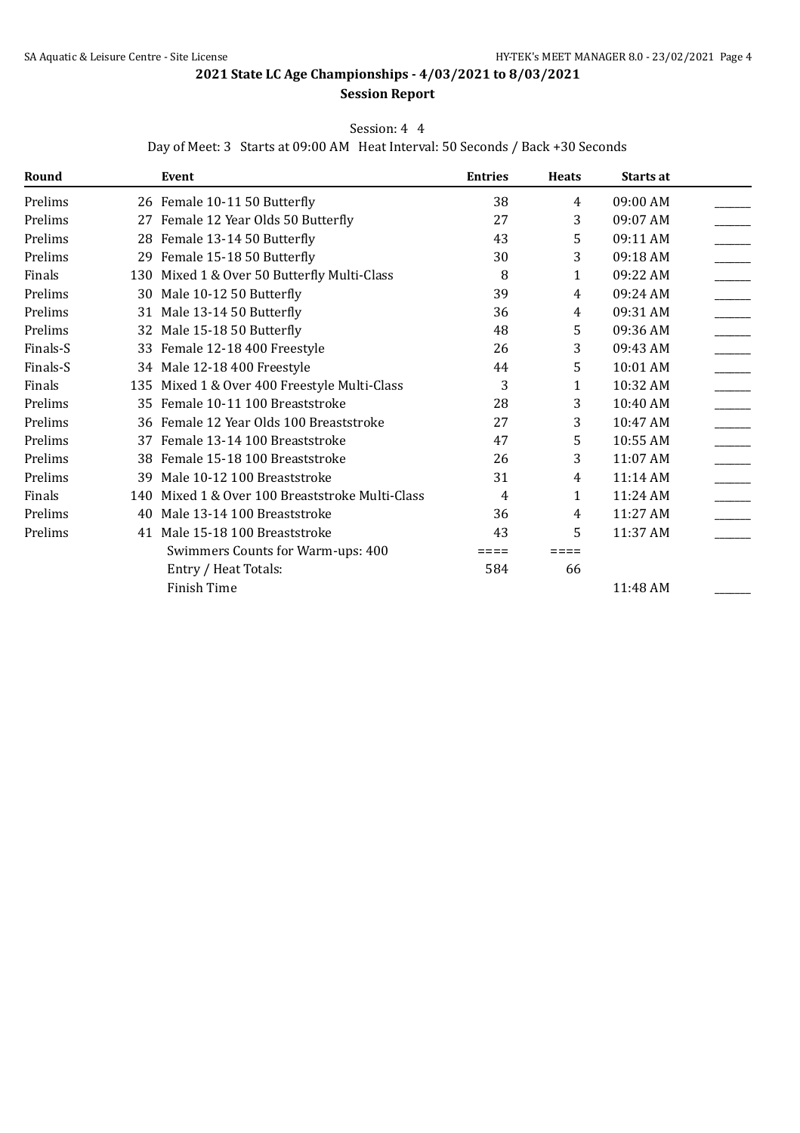#### **Session Report**

#### Session: 4 4

Day of Meet: 3 Starts at 09:00 AM Heat Interval: 50 Seconds / Back +30 Seconds

| Round    |    | Event                                           | <b>Entries</b> | <b>Heats</b> | Starts at |  |
|----------|----|-------------------------------------------------|----------------|--------------|-----------|--|
| Prelims  |    | 26 Female 10-11 50 Butterfly                    | 38             | 4            | 09:00 AM  |  |
| Prelims  |    | 27 Female 12 Year Olds 50 Butterfly             | 27             | 3            | 09:07 AM  |  |
| Prelims  |    | 28 Female 13-14 50 Butterfly                    | 43             | 5            | 09:11 AM  |  |
| Prelims  |    | 29 Female 15-18 50 Butterfly                    | 30             | 3            | 09:18 AM  |  |
| Finals   |    | 130 Mixed 1 & Over 50 Butterfly Multi-Class     | 8              | 1            | 09:22 AM  |  |
| Prelims  |    | 30 Male 10-12 50 Butterfly                      | 39             | 4            | 09:24 AM  |  |
| Prelims  |    | 31 Male 13-14 50 Butterfly                      | 36             | 4            | 09:31 AM  |  |
| Prelims  |    | 32 Male 15-18 50 Butterfly                      | 48             | 5            | 09:36 AM  |  |
| Finals-S |    | 33 Female 12-18 400 Freestyle                   | 26             | 3            | 09:43 AM  |  |
| Finals-S |    | 34 Male 12-18 400 Freestyle                     | 44             | 5            | 10:01 AM  |  |
| Finals   |    | 135 Mixed 1 & Over 400 Freestyle Multi-Class    | 3              | 1            | 10:32 AM  |  |
| Prelims  |    | 35 Female 10-11 100 Breaststroke                | 28             | 3            | 10:40 AM  |  |
| Prelims  |    | 36 Female 12 Year Olds 100 Breaststroke         | 27             | 3            | 10:47 AM  |  |
| Prelims  | 37 | Female 13-14 100 Breaststroke                   | 47             | 5            | 10:55 AM  |  |
| Prelims  |    | 38 Female 15-18 100 Breaststroke                | 26             | 3            | 11:07 AM  |  |
| Prelims  | 39 | Male 10-12 100 Breaststroke                     | 31             | 4            | 11:14 AM  |  |
| Finals   |    | 140 Mixed 1 & Over 100 Breaststroke Multi-Class | 4              | 1            | 11:24 AM  |  |
| Prelims  | 40 | Male 13-14 100 Breaststroke                     | 36             | 4            | 11:27 AM  |  |
| Prelims  |    | 41 Male 15-18 100 Breaststroke                  | 43             | 5            | 11:37 AM  |  |
|          |    | Swimmers Counts for Warm-ups: 400               |                | ⋍⋍⋍⋍         |           |  |
|          |    | Entry / Heat Totals:                            | 584            | 66           |           |  |
|          |    | Finish Time                                     |                |              | 11:48 AM  |  |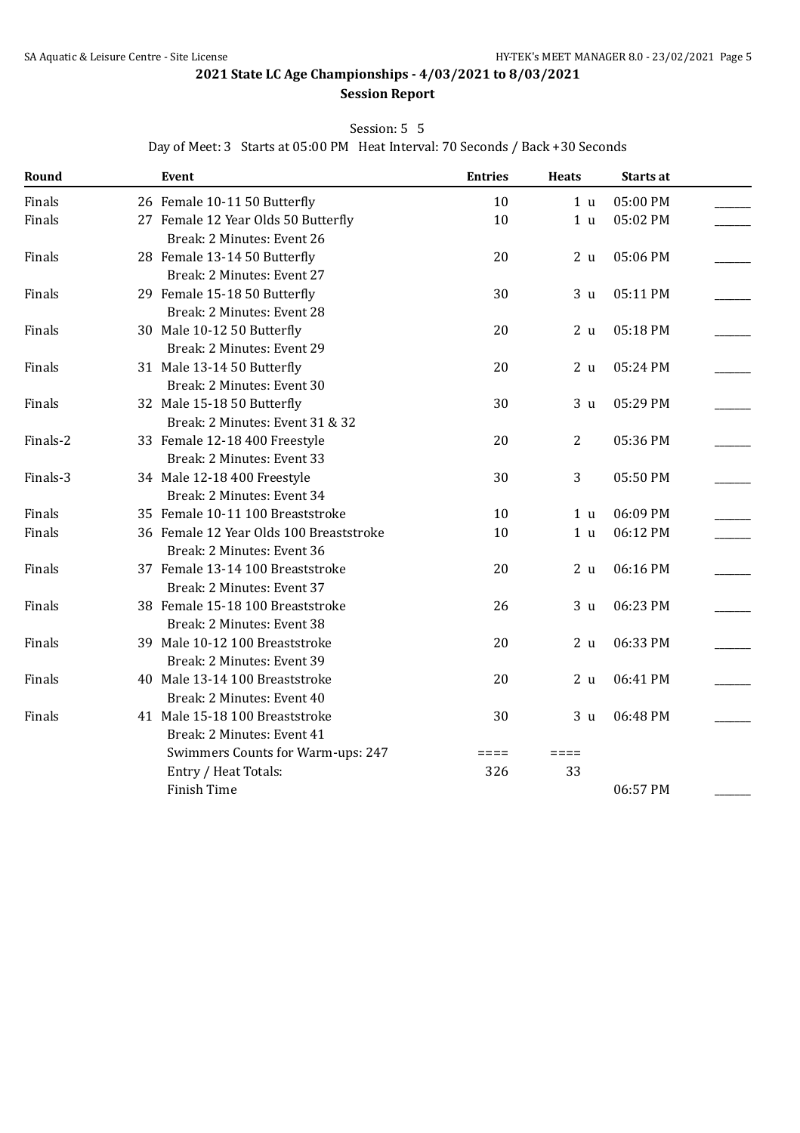# **Session Report**

Session: 5 5

Day of Meet: 3 Starts at 05:00 PM Heat Interval: 70 Seconds / Back +30 Seconds

| Round    | Event                                   | <b>Entries</b> | <b>Heats</b>   | Starts at |  |
|----------|-----------------------------------------|----------------|----------------|-----------|--|
| Finals   | 26 Female 10-11 50 Butterfly            | 10             | 1 <sub>u</sub> | 05:00 PM  |  |
| Finals   | 27 Female 12 Year Olds 50 Butterfly     | 10             | 1 <sub>u</sub> | 05:02 PM  |  |
|          | Break: 2 Minutes: Event 26              |                |                |           |  |
| Finals   | 28 Female 13-14 50 Butterfly            | 20             | 2 <sub>u</sub> | 05:06 PM  |  |
|          | Break: 2 Minutes: Event 27              |                |                |           |  |
| Finals   | 29 Female 15-18 50 Butterfly            | 30             | 3 <sub>u</sub> | 05:11 PM  |  |
|          | Break: 2 Minutes: Event 28              |                |                |           |  |
| Finals   | 30 Male 10-12 50 Butterfly              | 20             | 2 <sub>u</sub> | 05:18 PM  |  |
|          | Break: 2 Minutes: Event 29              |                |                |           |  |
| Finals   | 31 Male 13-14 50 Butterfly              | 20             | 2 <sub>u</sub> | 05:24 PM  |  |
|          | Break: 2 Minutes: Event 30              |                |                |           |  |
| Finals   | 32 Male 15-18 50 Butterfly              | 30             | 3 <sub>u</sub> | 05:29 PM  |  |
|          | Break: 2 Minutes: Event 31 & 32         |                |                |           |  |
| Finals-2 | 33 Female 12-18 400 Freestyle           | 20             | $\overline{2}$ | 05:36 PM  |  |
|          | Break: 2 Minutes: Event 33              |                |                |           |  |
| Finals-3 | 34 Male 12-18 400 Freestyle             | 30             | 3              | 05:50 PM  |  |
|          | Break: 2 Minutes: Event 34              |                |                |           |  |
| Finals   | 35 Female 10-11 100 Breaststroke        | 10             | 1 <sub>u</sub> | 06:09 PM  |  |
| Finals   | 36 Female 12 Year Olds 100 Breaststroke | 10             | 1 <sub>u</sub> | 06:12 PM  |  |
|          | Break: 2 Minutes: Event 36              |                |                |           |  |
| Finals   | 37 Female 13-14 100 Breaststroke        | 20             | 2 <sub>u</sub> | 06:16 PM  |  |
|          | Break: 2 Minutes: Event 37              |                |                |           |  |
| Finals   | 38 Female 15-18 100 Breaststroke        | 26             | 3 <sub>u</sub> | 06:23 PM  |  |
|          | Break: 2 Minutes: Event 38              |                |                |           |  |
| Finals   | 39 Male 10-12 100 Breaststroke          | 20             | 2 <sub>u</sub> | 06:33 PM  |  |
|          | Break: 2 Minutes: Event 39              |                |                |           |  |
| Finals   | 40 Male 13-14 100 Breaststroke          | 20             | 2 <sub>u</sub> | 06:41 PM  |  |
|          | Break: 2 Minutes: Event 40              |                |                |           |  |
| Finals   | 41 Male 15-18 100 Breaststroke          | 30             | 3 <sub>u</sub> | 06:48 PM  |  |
|          | Break: 2 Minutes: Event 41              |                |                |           |  |
|          | Swimmers Counts for Warm-ups: 247       | $====$         | $====$         |           |  |
|          | Entry / Heat Totals:                    | 326            | 33             |           |  |
|          | <b>Finish Time</b>                      |                |                | 06:57 PM  |  |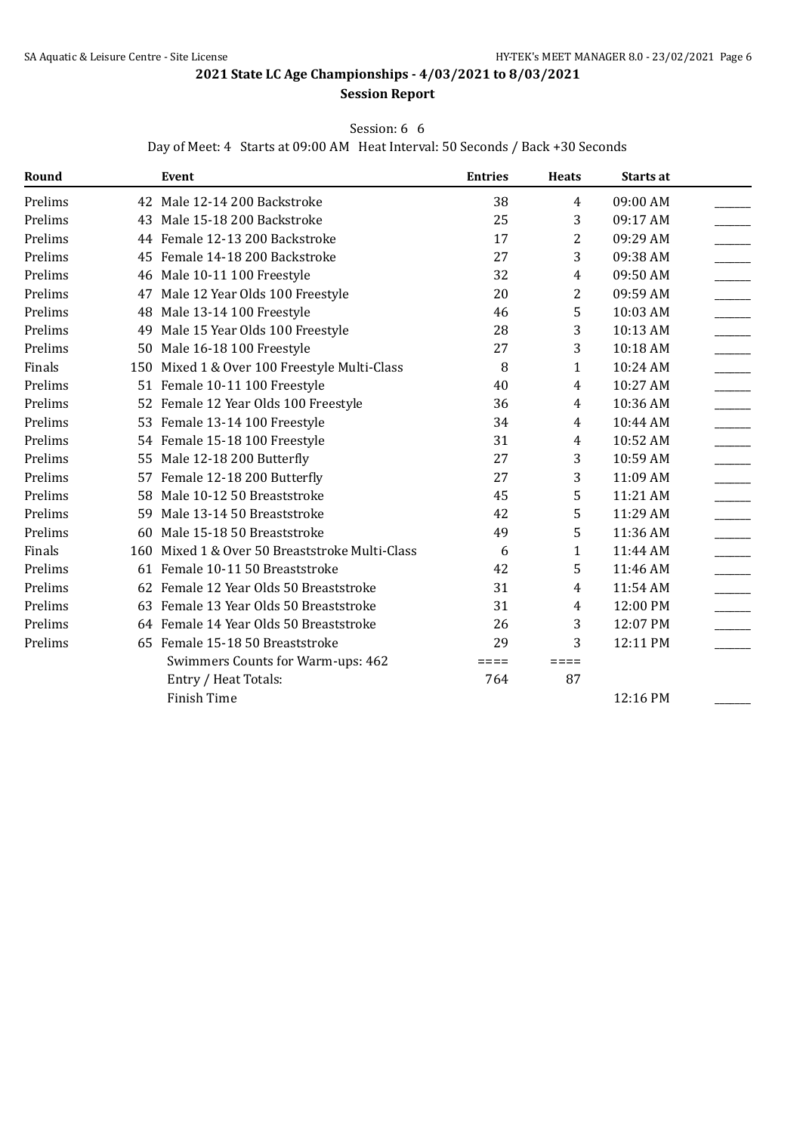### **Session Report**

#### Session: 6 6

Day of Meet: 4 Starts at 09:00 AM Heat Interval: 50 Seconds / Back +30 Seconds

| Round   |    | <b>Event</b>                                   | <b>Entries</b> | <b>Heats</b> | Starts at |  |
|---------|----|------------------------------------------------|----------------|--------------|-----------|--|
| Prelims |    | 42 Male 12-14 200 Backstroke                   | 38             | 4            | 09:00 AM  |  |
| Prelims |    | 43 Male 15-18 200 Backstroke                   | 25             | 3            | 09:17 AM  |  |
| Prelims |    | 44 Female 12-13 200 Backstroke                 | 17             | 2            | 09:29 AM  |  |
| Prelims |    | 45 Female 14-18 200 Backstroke                 | 27             | 3            | 09:38 AM  |  |
| Prelims |    | 46 Male 10-11 100 Freestyle                    | 32             | 4            | 09:50 AM  |  |
| Prelims | 47 | Male 12 Year Olds 100 Freestyle                | 20             | 2            | 09:59 AM  |  |
| Prelims | 48 | Male 13-14 100 Freestyle                       | 46             | 5            | 10:03 AM  |  |
| Prelims | 49 | Male 15 Year Olds 100 Freestyle                | 28             | 3            | 10:13 AM  |  |
| Prelims |    | 50 Male 16-18 100 Freestyle                    | 27             | 3            | 10:18 AM  |  |
| Finals  |    | 150 Mixed 1 & Over 100 Freestyle Multi-Class   | 8              | 1            | 10:24 AM  |  |
| Prelims |    | 51 Female 10-11 100 Freestyle                  | 40             | 4            | 10:27 AM  |  |
| Prelims |    | 52 Female 12 Year Olds 100 Freestyle           | 36             | 4            | 10:36 AM  |  |
| Prelims |    | 53 Female 13-14 100 Freestyle                  | 34             | 4            | 10:44 AM  |  |
| Prelims |    | 54 Female 15-18 100 Freestyle                  | 31             | 4            | 10:52 AM  |  |
| Prelims |    | 55 Male 12-18 200 Butterfly                    | 27             | 3            | 10:59 AM  |  |
| Prelims |    | 57 Female 12-18 200 Butterfly                  | 27             | 3            | 11:09 AM  |  |
| Prelims | 58 | Male 10-12 50 Breaststroke                     | 45             | 5            | 11:21 AM  |  |
| Prelims | 59 | Male 13-14 50 Breaststroke                     | 42             | 5            | 11:29 AM  |  |
| Prelims | 60 | Male 15-18 50 Breaststroke                     | 49             | 5            | 11:36 AM  |  |
| Finals  |    | 160 Mixed 1 & Over 50 Breaststroke Multi-Class | 6              | 1            | 11:44 AM  |  |
| Prelims |    | 61 Female 10-11 50 Breaststroke                | 42             | 5            | 11:46 AM  |  |
| Prelims |    | 62 Female 12 Year Olds 50 Breaststroke         | 31             | 4            | 11:54 AM  |  |
| Prelims | 63 | Female 13 Year Olds 50 Breaststroke            | 31             | 4            | 12:00 PM  |  |
| Prelims |    | 64 Female 14 Year Olds 50 Breaststroke         | 26             | 3            | 12:07 PM  |  |
| Prelims |    | 65 Female 15-18 50 Breaststroke                | 29             | 3            | 12:11 PM  |  |
|         |    | Swimmers Counts for Warm-ups: 462              | $====$         | $====$       |           |  |
|         |    | Entry / Heat Totals:                           | 764            | 87           |           |  |
|         |    | <b>Finish Time</b>                             |                |              | 12:16 PM  |  |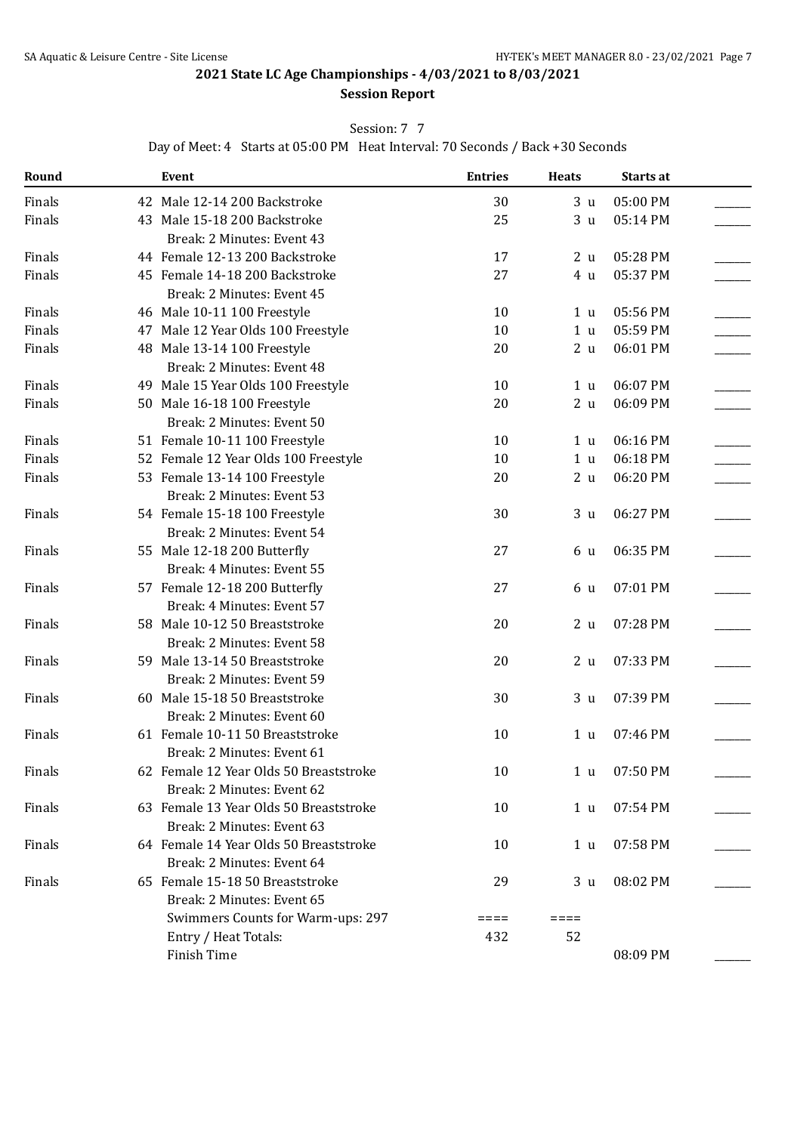## Session: 7 7

Day of Meet: 4 Starts at 05:00 PM Heat Interval: 70 Seconds / Back +30 Seconds

| Round  | Event                                  | <b>Entries</b> | <b>Heats</b>   | Starts at |  |
|--------|----------------------------------------|----------------|----------------|-----------|--|
| Finals | 42 Male 12-14 200 Backstroke           | 30             | 3 <sub>u</sub> | 05:00 PM  |  |
| Finals | 43 Male 15-18 200 Backstroke           | 25             | 3 <sub>u</sub> | 05:14 PM  |  |
|        | Break: 2 Minutes: Event 43             |                |                |           |  |
| Finals | 44 Female 12-13 200 Backstroke         | 17             | 2 <sub>u</sub> | 05:28 PM  |  |
| Finals | 45 Female 14-18 200 Backstroke         | 27             | 4 u            | 05:37 PM  |  |
|        | Break: 2 Minutes: Event 45             |                |                |           |  |
| Finals | 46 Male 10-11 100 Freestyle            | 10             | 1 u            | 05:56 PM  |  |
| Finals | 47 Male 12 Year Olds 100 Freestyle     | 10             | 1 <sub>u</sub> | 05:59 PM  |  |
| Finals | 48 Male 13-14 100 Freestyle            | 20             | 2 <sub>u</sub> | 06:01 PM  |  |
|        | Break: 2 Minutes: Event 48             |                |                |           |  |
| Finals | 49 Male 15 Year Olds 100 Freestyle     | 10             | 1 <sub>u</sub> | 06:07 PM  |  |
| Finals | 50 Male 16-18 100 Freestyle            | 20             | 2 <sub>u</sub> | 06:09 PM  |  |
|        | Break: 2 Minutes: Event 50             |                |                |           |  |
| Finals | 51 Female 10-11 100 Freestyle          | 10             | 1 <sub>u</sub> | 06:16 PM  |  |
| Finals | 52 Female 12 Year Olds 100 Freestyle   | 10             | 1 <sub>u</sub> | 06:18 PM  |  |
| Finals | 53 Female 13-14 100 Freestyle          | 20             | 2 <sub>u</sub> | 06:20 PM  |  |
|        | Break: 2 Minutes: Event 53             |                |                |           |  |
| Finals | 54 Female 15-18 100 Freestyle          | 30             | 3 <sub>u</sub> | 06:27 PM  |  |
|        | Break: 2 Minutes: Event 54             |                |                |           |  |
| Finals | 55 Male 12-18 200 Butterfly            | 27             | 6 u            | 06:35 PM  |  |
|        | Break: 4 Minutes: Event 55             |                |                |           |  |
| Finals | 57 Female 12-18 200 Butterfly          | 27             | 6 u            | 07:01 PM  |  |
|        | Break: 4 Minutes: Event 57             |                |                |           |  |
| Finals | 58 Male 10-12 50 Breaststroke          | 20             | 2 <sub>u</sub> | 07:28 PM  |  |
|        | Break: 2 Minutes: Event 58             |                |                |           |  |
| Finals | 59 Male 13-14 50 Breaststroke          | 20             | 2 <sub>u</sub> | 07:33 PM  |  |
|        | Break: 2 Minutes: Event 59             |                |                |           |  |
| Finals | 60 Male 15-18 50 Breaststroke          | 30             | 3 <sub>u</sub> | 07:39 PM  |  |
|        | Break: 2 Minutes: Event 60             |                |                |           |  |
| Finals | 61 Female 10-11 50 Breaststroke        | 10             | 1 <sub>u</sub> | 07:46 PM  |  |
|        | Break: 2 Minutes: Event 61             |                |                |           |  |
| Finals | 62 Female 12 Year Olds 50 Breaststroke | 10             | 1 <sub>u</sub> | 07:50 PM  |  |
|        | Break: 2 Minutes: Event 62             |                |                |           |  |
| Finals | 63 Female 13 Year Olds 50 Breaststroke | 10             | 1 <sub>u</sub> | 07:54 PM  |  |
|        | Break: 2 Minutes: Event 63             |                |                |           |  |
| Finals | 64 Female 14 Year Olds 50 Breaststroke | 10             | 1 u            | 07:58 PM  |  |
|        | Break: 2 Minutes: Event 64             |                |                |           |  |
| Finals | 65 Female 15-18 50 Breaststroke        | 29             | 3 u            | 08:02 PM  |  |
|        | Break: 2 Minutes: Event 65             |                |                |           |  |
|        | Swimmers Counts for Warm-ups: 297      | ====           | $====$         |           |  |
|        | Entry / Heat Totals:                   | 432            | 52             |           |  |
|        | Finish Time                            |                |                | 08:09 PM  |  |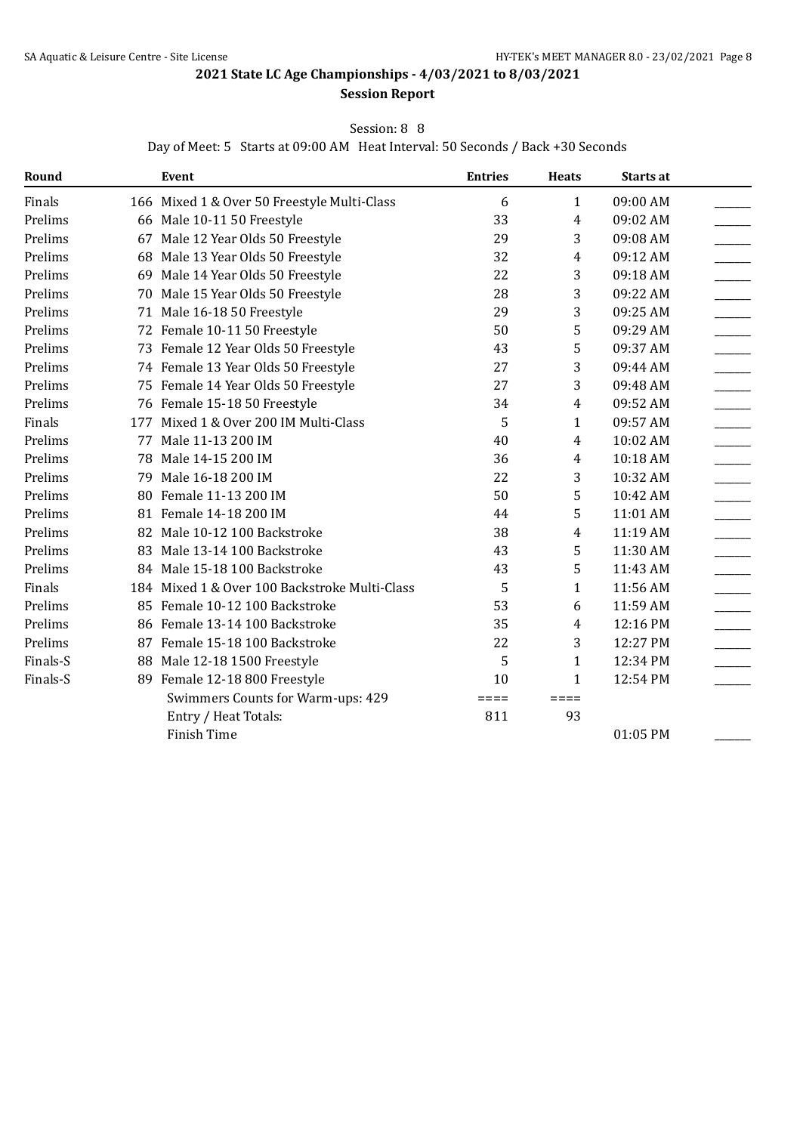### **Session Report**

#### Session: 8 8

Day of Meet: 5 Starts at 09:00 AM Heat Interval: 50 Seconds / Back +30 Seconds

| Round    |     | Event                                         | <b>Entries</b>  | <b>Heats</b>    | Starts at |  |
|----------|-----|-----------------------------------------------|-----------------|-----------------|-----------|--|
| Finals   |     | 166 Mixed 1 & Over 50 Freestyle Multi-Class   | 6               | $\mathbf{1}$    | 09:00 AM  |  |
| Prelims  |     | 66 Male 10-11 50 Freestyle                    | 33              | 4               | 09:02 AM  |  |
| Prelims  |     | 67 Male 12 Year Olds 50 Freestyle             | 29              | 3               | 09:08 AM  |  |
| Prelims  |     | 68 Male 13 Year Olds 50 Freestyle             | 32              | 4               | 09:12 AM  |  |
| Prelims  | 69  | Male 14 Year Olds 50 Freestyle                | 22              | 3               | 09:18 AM  |  |
| Prelims  |     | 70 Male 15 Year Olds 50 Freestyle             | 28              | 3               | 09:22 AM  |  |
| Prelims  |     | 71 Male 16-18 50 Freestyle                    | 29              | 3               | 09:25 AM  |  |
| Prelims  |     | 72 Female 10-11 50 Freestyle                  | 50              | 5               | 09:29 AM  |  |
| Prelims  |     | 73 Female 12 Year Olds 50 Freestyle           | 43              | 5               | 09:37 AM  |  |
| Prelims  |     | 74 Female 13 Year Olds 50 Freestyle           | 27              | 3               | 09:44 AM  |  |
| Prelims  |     | 75 Female 14 Year Olds 50 Freestyle           | 27              | 3               | 09:48 AM  |  |
| Prelims  |     | 76 Female 15-18 50 Freestyle                  | 34              | $\overline{4}$  | 09:52 AM  |  |
| Finals   | 177 | Mixed 1 & Over 200 IM Multi-Class             | 5               | 1               | 09:57 AM  |  |
| Prelims  |     | 77 Male 11-13 200 IM                          | 40              | 4               | 10:02 AM  |  |
| Prelims  | 78  | Male 14-15 200 IM                             | 36              | 4               | 10:18 AM  |  |
| Prelims  | 79  | Male 16-18 200 IM                             | 22              | 3               | 10:32 AM  |  |
| Prelims  | 80  | Female 11-13 200 IM                           | 50              | 5               | 10:42 AM  |  |
| Prelims  |     | 81 Female 14-18 200 IM                        | 44              | 5               | 11:01 AM  |  |
| Prelims  |     | 82 Male 10-12 100 Backstroke                  | 38              | 4               | 11:19 AM  |  |
| Prelims  | 83  | Male 13-14 100 Backstroke                     | 43              | 5               | 11:30 AM  |  |
| Prelims  |     | 84 Male 15-18 100 Backstroke                  | 43              | 5               | 11:43 AM  |  |
| Finals   |     | 184 Mixed 1 & Over 100 Backstroke Multi-Class | 5               | $\mathbf{1}$    | 11:56 AM  |  |
| Prelims  |     | 85 Female 10-12 100 Backstroke                | 53              | 6               | 11:59 AM  |  |
| Prelims  |     | 86 Female 13-14 100 Backstroke                | 35              | 4               | 12:16 PM  |  |
| Prelims  | 87  | Female 15-18 100 Backstroke                   | 22              | 3               | 12:27 PM  |  |
| Finals-S |     | 88 Male 12-18 1500 Freestyle                  | 5               | $\mathbf{1}$    | 12:34 PM  |  |
| Finals-S |     | 89 Female 12-18 800 Freestyle                 | 10              | 1               | 12:54 PM  |  |
|          |     | Swimmers Counts for Warm-ups: 429             | $=$ $=$ $=$ $=$ | $=$ $=$ $=$ $=$ |           |  |
|          |     | Entry / Heat Totals:                          | 811             | 93              |           |  |
|          |     | Finish Time                                   |                 |                 | 01:05 PM  |  |